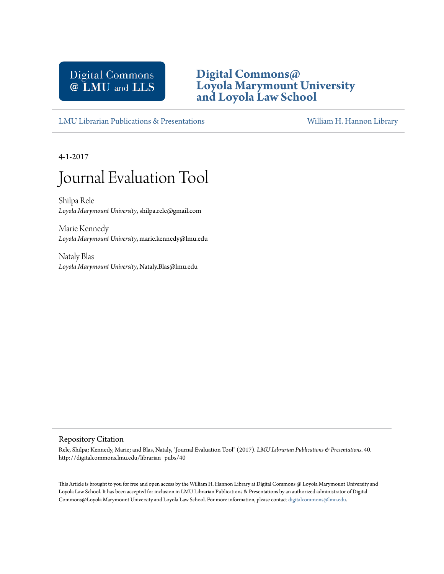## Digital Commons @ LMU and LLS

### **[Digital Commons@](http://digitalcommons.lmu.edu) [Loyola Marymount University](http://digitalcommons.lmu.edu) [and Loyola Law School](http://digitalcommons.lmu.edu)**

[LMU Librarian Publications & Presentations](http://digitalcommons.lmu.edu/librarian_pubs) [William H. Hannon Library](http://digitalcommons.lmu.edu/lmu_library)

4-1-2017

# Journal Evaluation Tool

Shilpa Rele *Loyola Marymount University*, shilpa.rele@gmail.com

Marie Kennedy *Loyola Marymount University*, marie.kennedy@lmu.edu

Nataly Blas *Loyola Marymount University*, Nataly.Blas@lmu.edu

#### Repository Citation

Rele, Shilpa; Kennedy, Marie; and Blas, Nataly, "Journal Evaluation Tool" (2017). *LMU Librarian Publications & Presentations*. 40. http://digitalcommons.lmu.edu/librarian\_pubs/40

This Article is brought to you for free and open access by the William H. Hannon Library at Digital Commons @ Loyola Marymount University and Loyola Law School. It has been accepted for inclusion in LMU Librarian Publications & Presentations by an authorized administrator of Digital Commons@Loyola Marymount University and Loyola Law School. For more information, please contact [digitalcommons@lmu.edu](mailto:digitalcommons@lmu.edu).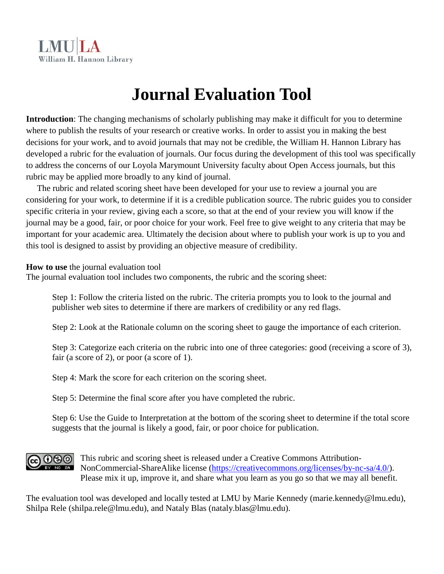# **Journal Evaluation Tool**

**Introduction**: The changing mechanisms of scholarly publishing may make it difficult for you to determine where to publish the results of your research or creative works. In order to assist you in making the best decisions for your work, and to avoid journals that may not be credible, the William H. Hannon Library has developed a rubric for the evaluation of journals. Our focus during the development of this tool was specifically to address the concerns of our Loyola Marymount University faculty about Open Access journals, but this rubric may be applied more broadly to any kind of journal.

 The rubric and related scoring sheet have been developed for your use to review a journal you are considering for your work, to determine if it is a credible publication source. The rubric guides you to consider specific criteria in your review, giving each a score, so that at the end of your review you will know if the journal may be a good, fair, or poor choice for your work. Feel free to give weight to any criteria that may be important for your academic area. Ultimately the decision about where to publish your work is up to you and this tool is designed to assist by providing an objective measure of credibility.

#### **How to use** the journal evaluation tool

The journal evaluation tool includes two components, the rubric and the scoring sheet:

Step 1: Follow the criteria listed on the rubric. The criteria prompts you to look to the journal and publisher web sites to determine if there are markers of credibility or any red flags.

Step 2: Look at the Rationale column on the scoring sheet to gauge the importance of each criterion.

Step 3: Categorize each criteria on the rubric into one of three categories: good (receiving a score of 3), fair (a score of 2), or poor (a score of 1).

Step 4: Mark the score for each criterion on the scoring sheet.

Step 5: Determine the final score after you have completed the rubric.

Step 6: Use the Guide to Interpretation at the bottom of the scoring sheet to determine if the total score suggests that the journal is likely a good, fair, or poor choice for publication.

## $0$ ®

This rubric and scoring sheet is released under a Creative Commons Attribution-NonCommercial-ShareAlike license [\(https://creativecommons.org/licenses/by-nc-sa/4.0/\)](https://creativecommons.org/licenses/by-nc-sa/4.0/). Please mix it up, improve it, and share what you learn as you go so that we may all benefit.

The evaluation tool was developed and locally tested at LMU by Marie Kennedy (marie.kennedy@lmu.edu), Shilpa Rele (shilpa.rele@lmu.edu), and Nataly Blas (nataly.blas@lmu.edu).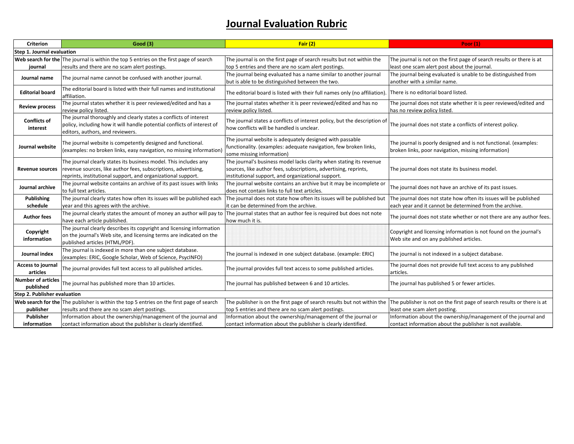## **Journal Evaluation Rubric**

| <b>Criterion</b>                       | <b>Good (3)</b>                                                                                                                                                                                    | Fair $(2)$                                                                                                                                                                                    | <b>Poor</b> (1)                                                                                                         |  |  |
|----------------------------------------|----------------------------------------------------------------------------------------------------------------------------------------------------------------------------------------------------|-----------------------------------------------------------------------------------------------------------------------------------------------------------------------------------------------|-------------------------------------------------------------------------------------------------------------------------|--|--|
| Step 1. Journal evaluation             |                                                                                                                                                                                                    |                                                                                                                                                                                               |                                                                                                                         |  |  |
|                                        | Web search for the The journal is within the top 5 entries on the first page of search                                                                                                             | The journal is on the first page of search results but not within the                                                                                                                         | The journal is not on the first page of search results or there is at                                                   |  |  |
| journal                                | results and there are no scam alert postings.                                                                                                                                                      | top 5 entries and there are no scam alert postings.                                                                                                                                           | least one scam alert post about the journal.                                                                            |  |  |
| Journal name                           | The journal name cannot be confused with another journal.                                                                                                                                          | The journal being evaluated has a name similar to another journal<br>but is able to be distinguished between the two.                                                                         | The journal being evaluated is unable to be distinguished from<br>another with a similar name.                          |  |  |
| <b>Editorial board</b>                 | The editorial board is listed with their full names and institutional<br>affiliation.                                                                                                              | The editorial board is listed with their full names only (no affiliation)                                                                                                                     | There is no editorial board listed.                                                                                     |  |  |
| <b>Review process</b>                  | The journal states whether it is peer reviewed/edited and has a<br>review policy listed.                                                                                                           | The journal states whether it is peer reviewed/edited and has no<br>review policy listed.                                                                                                     | The journal does not state whether it is peer reviewed/edited and<br>has no review policy listed.                       |  |  |
| <b>Conflicts of</b><br>interest        | The journal thoroughly and clearly states a conflicts of interest<br>policy, including how it will handle potential conflicts of interest of<br>editors, authors, and reviewers.                   | The journal states a conflicts of interest policy, but the description of<br>how conflicts will be handled is unclear.                                                                        | The journal does not state a conflicts of interest policy.                                                              |  |  |
| Journal website                        | The journal website is competently designed and functional.<br>(examples: no broken links, easy navigation, no missing information)                                                                | The journal website is adequately designed with passable<br>functionality. (examples: adequate navigation, few broken links,<br>some missing information)                                     | The journal is poorly designed and is not functional. (examples:<br>broken links, poor navigation, missing information) |  |  |
| <b>Revenue sources</b>                 | The journal clearly states its business model. This includes any<br>revenue sources, like author fees, subscriptions, advertising,<br>reprints, institutional support, and organizational support. | The journal's business model lacks clarity when stating its revenue<br>sources, like author fees, subscriptions, advertising, reprints,<br>institutional support, and organizational support. | The journal does not state its business model.                                                                          |  |  |
| Journal archive                        | The journal website contains an archive of its past issues with links<br>to full text articles.                                                                                                    | The journal website contains an archive but it may be incomplete or<br>does not contain links to full text articles.                                                                          | The journal does not have an archive of its past issues.                                                                |  |  |
| <b>Publishing</b>                      | The journal clearly states how often its issues will be published each                                                                                                                             | The journal does not state how often its issues will be published but                                                                                                                         | The journal does not state how often its issues will be published                                                       |  |  |
| schedule                               | year and this agrees with the archive.                                                                                                                                                             | it can be determined from the archive.                                                                                                                                                        | each year and it cannot be determined from the archive.                                                                 |  |  |
| Author fees                            | The journal clearly states the amount of money an author will pay to<br>have each article published.                                                                                               | The journal states that an author fee is required but does not note<br>how much it is.                                                                                                        | The journal does not state whether or not there are any author fees.                                                    |  |  |
| Copyright<br>information               | The journal clearly describes its copyright and licensing information<br>on the journal's Web site, and licensing terms are indicated on the<br>published articles (HTML/PDF).                     |                                                                                                                                                                                               | Copyright and licensing information is not found on the journal's<br>Web site and on any published articles.            |  |  |
| Journal index                          | The journal is indexed in more than one subject database.<br>(examples: ERIC, Google Scholar, Web of Science, PsycINFO)                                                                            | The journal is indexed in one subject database. (example: ERIC)                                                                                                                               | The journal is not indexed in a subject database.                                                                       |  |  |
| <b>Access to journal</b><br>articles   | The journal provides full text access to all published articles.                                                                                                                                   | The journal provides full text access to some published articles.                                                                                                                             | The journal does not provide full text access to any published<br>articles.                                             |  |  |
| <b>Number of articles</b><br>published | The journal has published more than 10 articles.                                                                                                                                                   | The journal has published between 6 and 10 articles.                                                                                                                                          | The journal has published 5 or fewer articles.                                                                          |  |  |
| Step 2. Publisher evaluation           |                                                                                                                                                                                                    |                                                                                                                                                                                               |                                                                                                                         |  |  |
|                                        | Web search for the The publisher is within the top 5 entries on the first page of search                                                                                                           | The publisher is on the first page of search results but not within the  The publisher is not on the first page of search results or there is at                                              |                                                                                                                         |  |  |
| publisher                              | results and there are no scam alert postings.                                                                                                                                                      | top 5 entries and there are no scam alert postings.                                                                                                                                           | least one scam alert posting.                                                                                           |  |  |
| Publisher                              | Information about the ownership/management of the journal and                                                                                                                                      | Information about the ownership/management of the journal or                                                                                                                                  | Information about the ownership/management of the journal and                                                           |  |  |
| information                            | contact information about the publisher is clearly identified.                                                                                                                                     | contact information about the publisher is clearly identified.                                                                                                                                | contact information about the publisher is not available.                                                               |  |  |